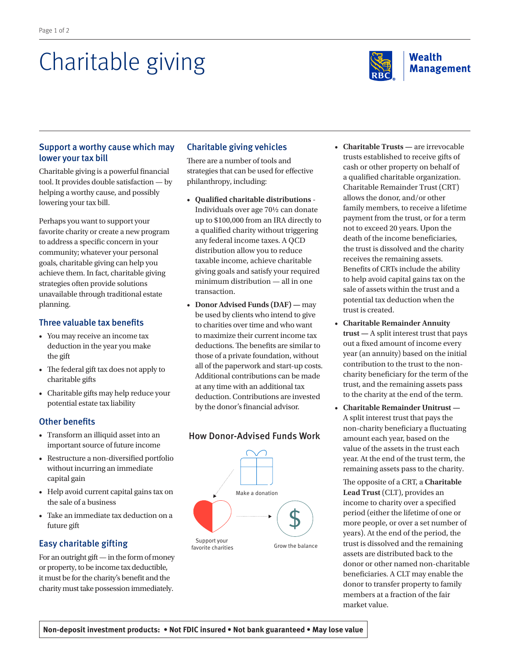# Charitable giving



### Support a worthy cause which may lower your tax bill

Charitable giving is a powerful financial tool. It provides double satisfaction — by helping a worthy cause, and possibly lowering your tax bill.

Perhaps you want to support your favorite charity or create a new program to address a specific concern in your community; whatever your personal goals, charitable giving can help you achieve them. In fact, charitable giving strategies often provide solutions unavailable through traditional estate planning.

## Three valuable tax benefits

- You may receive an income tax deduction in the year you make the gift
- The federal gift tax does not apply to charitable gifts
- Charitable gifts may help reduce your potential estate tax liability

# Other benefits

- Transform an illiquid asset into an important source of future income
- Restructure a non-diversified portfolio without incurring an immediate capital gain
- Help avoid current capital gains tax on the sale of a business
- Take an immediate tax deduction on a future gift

# Easy charitable gifting

For an outright gift — in the form of money or property, to be income tax deductible, it must be for the charity's benefit and the charity must take possession immediately.

## Charitable giving vehicles

There are a number of tools and strategies that can be used for effective philanthropy, including:

- **Qualified charitable distributions** Individuals over age 70½ can donate up to \$100,000 from an IRA directly to a qualified charity without triggering any federal income taxes. A QCD distribution allow you to reduce taxable income, achieve charitable giving goals and satisfy your required minimum distribution — all in one transaction.
- **Donor Advised Funds (DAF) —** may be used by clients who intend to give to charities over time and who want to maximize their current income tax deductions. The benefits are similar to those of a private foundation, without all of the paperwork and start-up costs. Additional contributions can be made at any time with an additional tax deduction. Contributions are invested by the donor's financial advisor.



## How Donor-Advised Funds Work

- • **Charitable Trusts —** are irrevocable trusts established to receive gifts of cash or other property on behalf of a qualified charitable organization. Charitable Remainder Trust (CRT) allows the donor, and/or other family members, to receive a lifetime payment from the trust, or for a term not to exceed 20 years. Upon the death of the income beneficiaries, the trust is dissolved and the charity receives the remaining assets. Benefits of CRTs include the ability to help avoid capital gains tax on the sale of assets within the trust and a potential tax deduction when the trust is created.
- **Charitable Remainder Annuity trust —** A split interest trust that pays out a fixed amount of income every year (an annuity) based on the initial contribution to the trust to the noncharity beneficiary for the term of the trust, and the remaining assets pass to the charity at the end of the term.
- **Charitable Remainder Unitrust —** A split interest trust that pays the non-charity beneficiary a fluctuating amount each year, based on the value of the assets in the trust each year. At the end of the trust term, the remaining assets pass to the charity.

 The opposite of a CRT, a **Charitable Lead Trust** (CLT), provides an income to charity over a specified period (either the lifetime of one or more people, or over a set number of years). At the end of the period, the trust is dissolved and the remaining assets are distributed back to the donor or other named non-charitable beneficiaries. A CLT may enable the donor to transfer property to family members at a fraction of the fair market value.